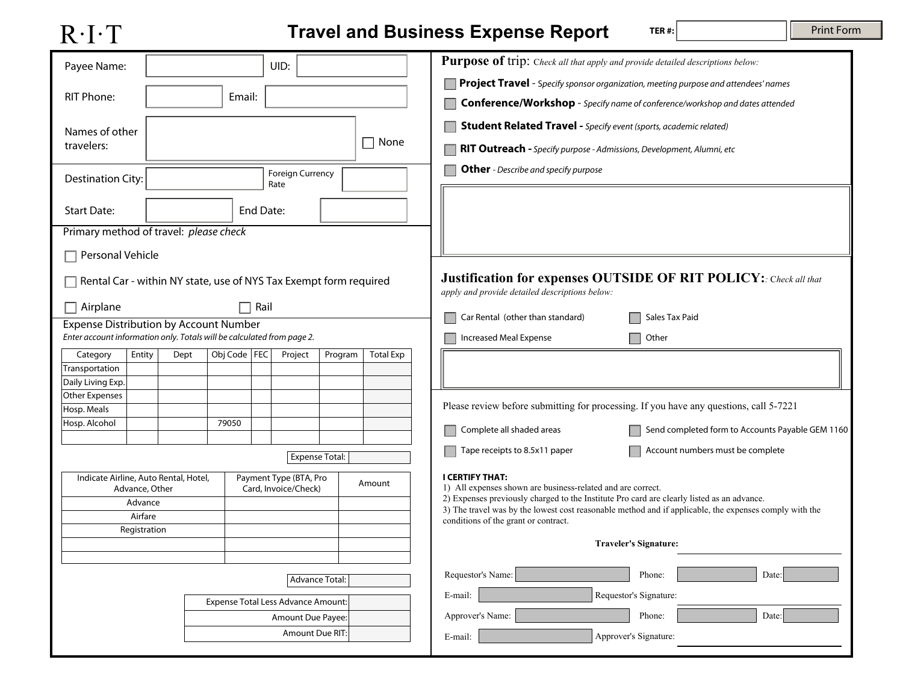## R·I·T

## **Travel and Business Expense Report**

**TER #:**

| Payee Name:                                                                                                             | UID:                                                              | Purpose of trip: Check all that apply and provide detailed descriptions below:                                                                                                                       |
|-------------------------------------------------------------------------------------------------------------------------|-------------------------------------------------------------------|------------------------------------------------------------------------------------------------------------------------------------------------------------------------------------------------------|
|                                                                                                                         |                                                                   | <b>Project Travel</b> - Specify sponsor organization, meeting purpose and attendees' names                                                                                                           |
| <b>RIT Phone:</b>                                                                                                       | Email:                                                            | Conference/Workshop - Specify name of conference/workshop and dates attended                                                                                                                         |
| Names of other                                                                                                          |                                                                   | <b>Student Related Travel - Specify event (sports, academic related)</b>                                                                                                                             |
| travelers:                                                                                                              | $\Box$ None                                                       | <b>NIT Outreach</b> - Specify purpose - Admissions, Development, Alumni, etc                                                                                                                         |
| <b>Destination City:</b>                                                                                                | <b>Foreign Currency</b>                                           | <b>Other</b> - Describe and specify purpose                                                                                                                                                          |
|                                                                                                                         | Rate                                                              |                                                                                                                                                                                                      |
| <b>Start Date:</b>                                                                                                      | End Date:                                                         |                                                                                                                                                                                                      |
| Primary method of travel: please check                                                                                  |                                                                   |                                                                                                                                                                                                      |
| Personal Vehicle                                                                                                        |                                                                   |                                                                                                                                                                                                      |
|                                                                                                                         | Rental Car - within NY state, use of NYS Tax Exempt form required | <b>Justification for expenses OUTSIDE OF RIT POLICY:</b> Check all that<br>apply and provide detailed descriptions below:                                                                            |
| $\Box$ Airplane                                                                                                         | Rail                                                              | Car Rental (other than standard)<br>Sales Tax Paid                                                                                                                                                   |
| <b>Expense Distribution by Account Number</b><br>Enter account information only. Totals will be calculated from page 2. |                                                                   | <b>Increased Meal Expense</b><br>Other                                                                                                                                                               |
| Entity<br>Category<br>Dept                                                                                              | Obj Code   FEC<br>Project<br>Program<br><b>Total Exp</b>          |                                                                                                                                                                                                      |
| Transportation                                                                                                          |                                                                   |                                                                                                                                                                                                      |
| Daily Living Exp.                                                                                                       |                                                                   |                                                                                                                                                                                                      |
| <b>Other Expenses</b>                                                                                                   |                                                                   | Please review before submitting for processing. If you have any questions, call 5-7221                                                                                                               |
| Hosp. Meals<br>Hosp. Alcohol                                                                                            | 79050                                                             |                                                                                                                                                                                                      |
|                                                                                                                         |                                                                   | Complete all shaded areas<br>Send completed form to Accounts Payable GEM 1160                                                                                                                        |
|                                                                                                                         | <b>Expense Total:</b>                                             | Account numbers must be complete<br>Tape receipts to 8.5x11 paper                                                                                                                                    |
| Indicate Airline, Auto Rental, Hotel,<br>Advance, Other                                                                 | Payment Type (BTA, Pro<br>Amount<br>Card, Invoice/Check)          | <b>I CERTIFY THAT:</b><br>1) All expenses shown are business-related and are correct.                                                                                                                |
| Advance                                                                                                                 |                                                                   | 2) Expenses previously charged to the Institute Pro card are clearly listed as an advance.<br>3) The travel was by the lowest cost reasonable method and if applicable, the expenses comply with the |
| Airfare                                                                                                                 |                                                                   | conditions of the grant or contract.                                                                                                                                                                 |
| Registration                                                                                                            |                                                                   | <b>Traveler's Signature:</b>                                                                                                                                                                         |
|                                                                                                                         |                                                                   |                                                                                                                                                                                                      |
|                                                                                                                         | <b>Advance Total:</b>                                             | Requestor's Name:<br>Phone:<br>Date:                                                                                                                                                                 |
|                                                                                                                         | Expense Total Less Advance Amount:                                | Requestor's Signature:<br>E-mail:                                                                                                                                                                    |
|                                                                                                                         | Amount Due Payee:                                                 | Approver's Name:<br>Phone:<br>Date:                                                                                                                                                                  |
|                                                                                                                         | Amount Due RIT:                                                   | Approver's Signature:<br>E-mail:                                                                                                                                                                     |